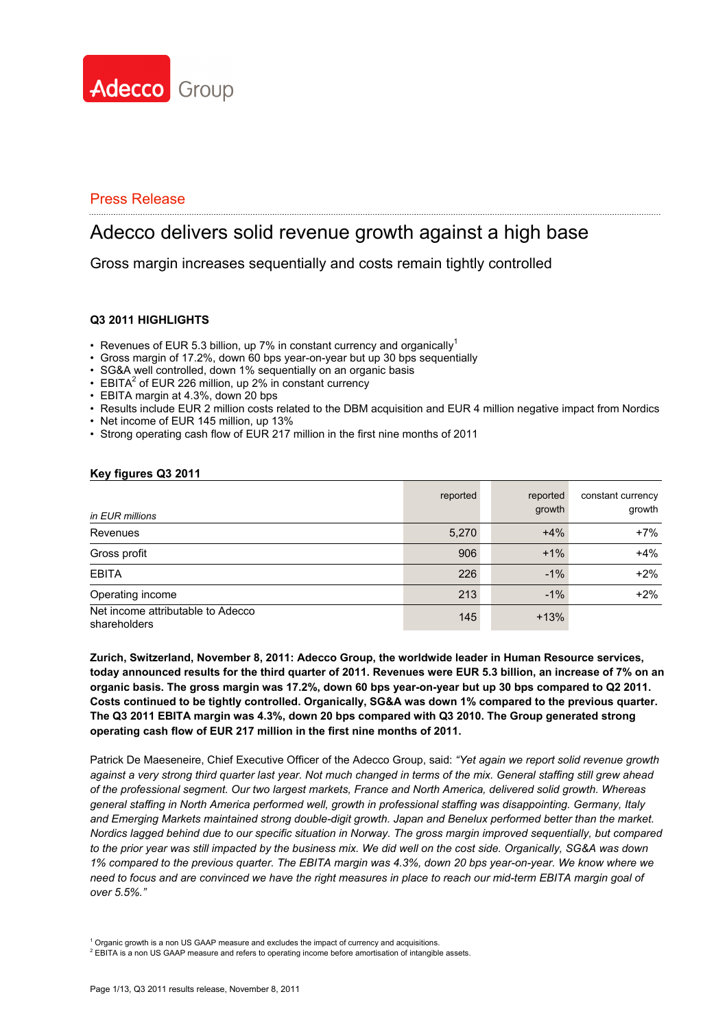

# Adecco delivers solid revenue growth against a high base

Gross margin increases sequentially and costs remain tightly controlled

#### **Q3 2011 HIGHLIGHTS**

- Revenues of EUR 5.3 billion, up 7% in constant currency and organically<sup>1</sup>
- Gross margin of 17.2%, down 60 bps year-on-year but up 30 bps sequentially
- SG&A well controlled, down 1% sequentially on an organic basis
- $\cdot$  EBITA<sup>2</sup> of EUR 226 million, up 2% in constant currency
- EBITA margin at 4.3%, down 20 bps
- Results include EUR 2 million costs related to the DBM acquisition and EUR 4 million negative impact from Nordics
- Net income of EUR 145 million, up 13%
- Strong operating cash flow of EUR 217 million in the first nine months of 2011

#### **Key figures Q3 2011**

| in EUR millions                                   | reported | reported<br>growth | constant currency<br>growth |
|---------------------------------------------------|----------|--------------------|-----------------------------|
| Revenues                                          | 5,270    | $+4%$              | $+7%$                       |
| Gross profit                                      | 906      | $+1%$              | $+4%$                       |
| <b>EBITA</b>                                      | 226      | $-1\%$             | $+2%$                       |
| Operating income                                  | 213      | $-1%$              | $+2%$                       |
| Net income attributable to Adecco<br>shareholders | 145      | $+13%$             |                             |

**Zurich, Switzerland, November 8, 2011: Adecco Group, the worldwide leader in Human Resource services, today announced results for the third quarter of 2011. Revenues were EUR 5.3 billion, an increase of 7% on an organic basis. The gross margin was 17.2%, down 60 bps year-on-year but up 30 bps compared to Q2 2011. Costs continued to be tightly controlled. Organically, SG&A was down 1% compared to the previous quarter. The Q3 2011 EBITA margin was 4.3%, down 20 bps compared with Q3 2010. The Group generated strong operating cash flow of EUR 217 million in the first nine months of 2011.**

Patrick De Maeseneire, Chief Executive Officer of the Adecco Group, said: *"Yet again we report solid revenue growth against a very strong third quarter last year. Not much changed in terms of the mix. General staffing still grew ahead of the professional segment. Our two largest markets, France and North America, delivered solid growth. Whereas general staffing in North America performed well, growth in professional staffing was disappointing. Germany, Italy and Emerging Markets maintained strong double-digit growth. Japan and Benelux performed better than the market. Nordics lagged behind due to our specific situation in Norway. The gross margin improved sequentially, but compared*  to the prior year was still impacted by the business mix. We did well on the cost side. Organically, SG&A was down *1% compared to the previous quarter. The EBITA margin was 4.3%, down 20 bps year-on-year. We know where we need to focus and are convinced we have the right measures in place to reach our mid-term EBITA margin goal of over 5.5%."*

<sup>1</sup> Organic growth is a non US GAAP measure and excludes the impact of currency and acquisitions.

 $<sup>2</sup>$  EBITA is a non US GAAP measure and refers to operating income before amortisation of intangible assets.</sup>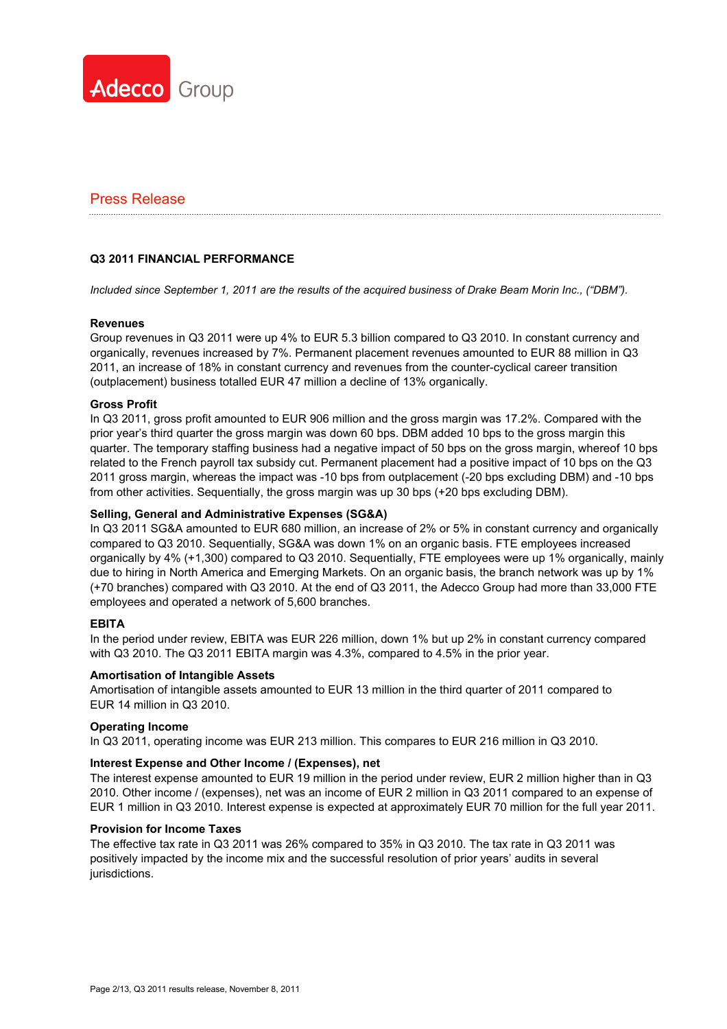

#### **Q3 2011 FINANCIAL PERFORMANCE**

*Included since September 1, 2011 are the results of the acquired business of Drake Beam Morin Inc., ("DBM").* 

#### **Revenues**

Group revenues in Q3 2011 were up 4% to EUR 5.3 billion compared to Q3 2010. In constant currency and organically, revenues increased by 7%. Permanent placement revenues amounted to EUR 88 million in Q3 2011, an increase of 18% in constant currency and revenues from the counter-cyclical career transition (outplacement) business totalled EUR 47 million a decline of 13% organically.

#### **Gross Profit**

In Q3 2011, gross profit amounted to EUR 906 million and the gross margin was 17.2%. Compared with the prior year's third quarter the gross margin was down 60 bps. DBM added 10 bps to the gross margin this quarter. The temporary staffing business had a negative impact of 50 bps on the gross margin, whereof 10 bps related to the French payroll tax subsidy cut. Permanent placement had a positive impact of 10 bps on the Q3 2011 gross margin, whereas the impact was -10 bps from outplacement (-20 bps excluding DBM) and -10 bps from other activities. Sequentially, the gross margin was up 30 bps (+20 bps excluding DBM).

#### **Selling, General and Administrative Expenses (SG&A)**

In Q3 2011 SG&A amounted to EUR 680 million, an increase of 2% or 5% in constant currency and organically compared to Q3 2010. Sequentially, SG&A was down 1% on an organic basis. FTE employees increased organically by 4% (+1,300) compared to Q3 2010. Sequentially, FTE employees were up 1% organically, mainly due to hiring in North America and Emerging Markets. On an organic basis, the branch network was up by 1% (+70 branches) compared with Q3 2010. At the end of Q3 2011, the Adecco Group had more than 33,000 FTE employees and operated a network of 5,600 branches.

#### **EBITA**

In the period under review, EBITA was EUR 226 million, down 1% but up 2% in constant currency compared with Q3 2010. The Q3 2011 EBITA margin was 4.3%, compared to 4.5% in the prior year.

#### **Amortisation of Intangible Assets**

Amortisation of intangible assets amounted to EUR 13 million in the third quarter of 2011 compared to EUR 14 million in Q3 2010.

#### **Operating Income**

In Q3 2011, operating income was EUR 213 million. This compares to EUR 216 million in Q3 2010.

#### **Interest Expense and Other Income / (Expenses), net**

The interest expense amounted to EUR 19 million in the period under review, EUR 2 million higher than in Q3 2010. Other income / (expenses), net was an income of EUR 2 million in Q3 2011 compared to an expense of EUR 1 million in Q3 2010. Interest expense is expected at approximately EUR 70 million for the full year 2011.

#### **Provision for Income Taxes**

The effective tax rate in Q3 2011 was 26% compared to 35% in Q3 2010. The tax rate in Q3 2011 was positively impacted by the income mix and the successful resolution of prior years' audits in several jurisdictions.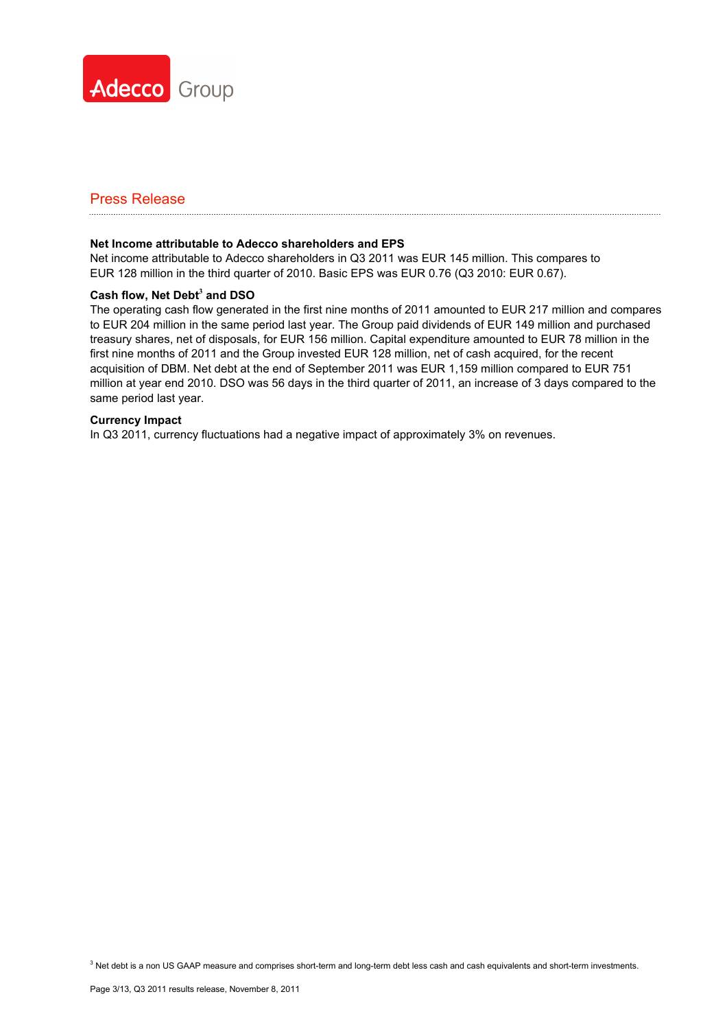

#### **Net Income attributable to Adecco shareholders and EPS**

Net income attributable to Adecco shareholders in Q3 2011 was EUR 145 million. This compares to EUR 128 million in the third quarter of 2010. Basic EPS was EUR 0.76 (Q3 2010: EUR 0.67).

#### **Cash flow, Net Debt<sup>3</sup> and DSO**

The operating cash flow generated in the first nine months of 2011 amounted to EUR 217 million and compares to EUR 204 million in the same period last year. The Group paid dividends of EUR 149 million and purchased treasury shares, net of disposals, for EUR 156 million. Capital expenditure amounted to EUR 78 million in the first nine months of 2011 and the Group invested EUR 128 million, net of cash acquired, for the recent acquisition of DBM. Net debt at the end of September 2011 was EUR 1,159 million compared to EUR 751 million at year end 2010. DSO was 56 days in the third quarter of 2011, an increase of 3 days compared to the same period last year.

#### **Currency Impact**

In Q3 2011, currency fluctuations had a negative impact of approximately 3% on revenues.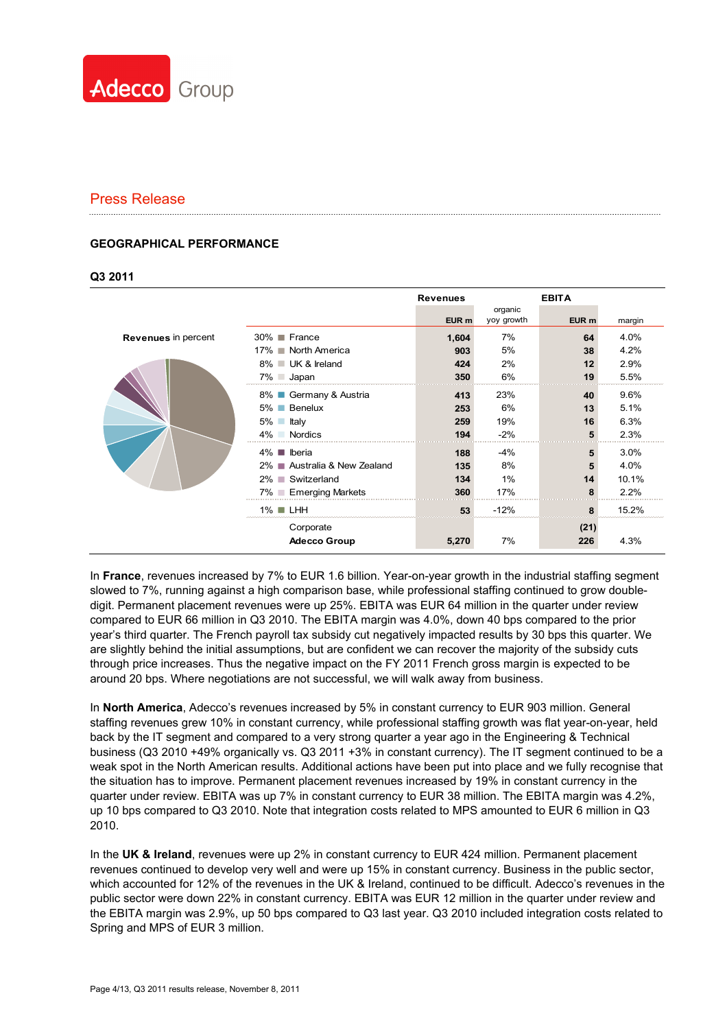

#### **GEOGRAPHICAL PERFORMANCE**

#### **Q3 2011**

|                            |                              | <b>Revenues</b> |                       | <b>EBITA</b> |        |
|----------------------------|------------------------------|-----------------|-----------------------|--------------|--------|
|                            |                              | EUR m           | organic<br>yoy growth | EUR m        | margin |
| <b>Revenues</b> in percent | 30% ■ France                 | 1,604           | 7%                    | 64           | 4.0%   |
|                            | 17% North America            | 903             | 5%                    | 38           | 4.2%   |
|                            | 8% ■ UK & Ireland            | 424             | 2%                    | 12           | 2.9%   |
|                            | $7\%$ Japan                  | 350             | 6%                    | 19           | 5.5%   |
|                            | Germany & Austria<br>8% ■    | 413             | 23%                   | 40           | 9.6%   |
|                            | 5% Benelux                   | 253             | 6%                    | 13           | 5.1%   |
|                            | $5\%$ $\Box$<br>ltalv        | 259             | 19%                   | 16           | 6.3%   |
|                            | $4\%$<br>Nordics             | 194             | $-2%$                 |              | 2.3%   |
|                            | $4\%$ <b>II</b> Iberia       | 188             | -4%                   | 5            | 3.0%   |
|                            | 2% ■ Australia & New Zealand | 135             | 8%                    | 5            | 4.0%   |
|                            | 2% Switzerland               | 134             | 1%                    | 14           | 10.1%  |
|                            | 7% ■ Emerging Markets        | 360             | 17%                   | 8            | 2.2%   |
|                            | $1\%$ LHH                    | 53              | $-12%$                | 8            | 15.2%  |
|                            | Corporate                    |                 |                       | (21)         |        |
|                            | <b>Adecco Group</b>          | 5,270           | 7%                    | 226          | 4.3%   |

In **France**, revenues increased by 7% to EUR 1.6 billion. Year-on-year growth in the industrial staffing segment slowed to 7%, running against a high comparison base, while professional staffing continued to grow doubledigit. Permanent placement revenues were up 25%. EBITA was EUR 64 million in the quarter under review compared to EUR 66 million in Q3 2010. The EBITA margin was 4.0%, down 40 bps compared to the prior year's third quarter. The French payroll tax subsidy cut negatively impacted results by 30 bps this quarter. We are slightly behind the initial assumptions, but are confident we can recover the majority of the subsidy cuts through price increases. Thus the negative impact on the FY 2011 French gross margin is expected to be around 20 bps. Where negotiations are not successful, we will walk away from business.

In **North America**, Adecco's revenues increased by 5% in constant currency to EUR 903 million. General staffing revenues grew 10% in constant currency, while professional staffing growth was flat year-on-year, held back by the IT segment and compared to a very strong quarter a year ago in the Engineering & Technical business (Q3 2010 +49% organically vs. Q3 2011 +3% in constant currency). The IT segment continued to be a weak spot in the North American results. Additional actions have been put into place and we fully recognise that the situation has to improve. Permanent placement revenues increased by 19% in constant currency in the quarter under review. EBITA was up 7% in constant currency to EUR 38 million. The EBITA margin was 4.2%, up 10 bps compared to Q3 2010. Note that integration costs related to MPS amounted to EUR 6 million in Q3 2010.

In the **UK & Ireland**, revenues were up 2% in constant currency to EUR 424 million. Permanent placement revenues continued to develop very well and were up 15% in constant currency. Business in the public sector, which accounted for 12% of the revenues in the UK & Ireland, continued to be difficult. Adecco's revenues in the public sector were down 22% in constant currency. EBITA was EUR 12 million in the quarter under review and the EBITA margin was 2.9%, up 50 bps compared to Q3 last year. Q3 2010 included integration costs related to Spring and MPS of EUR 3 million.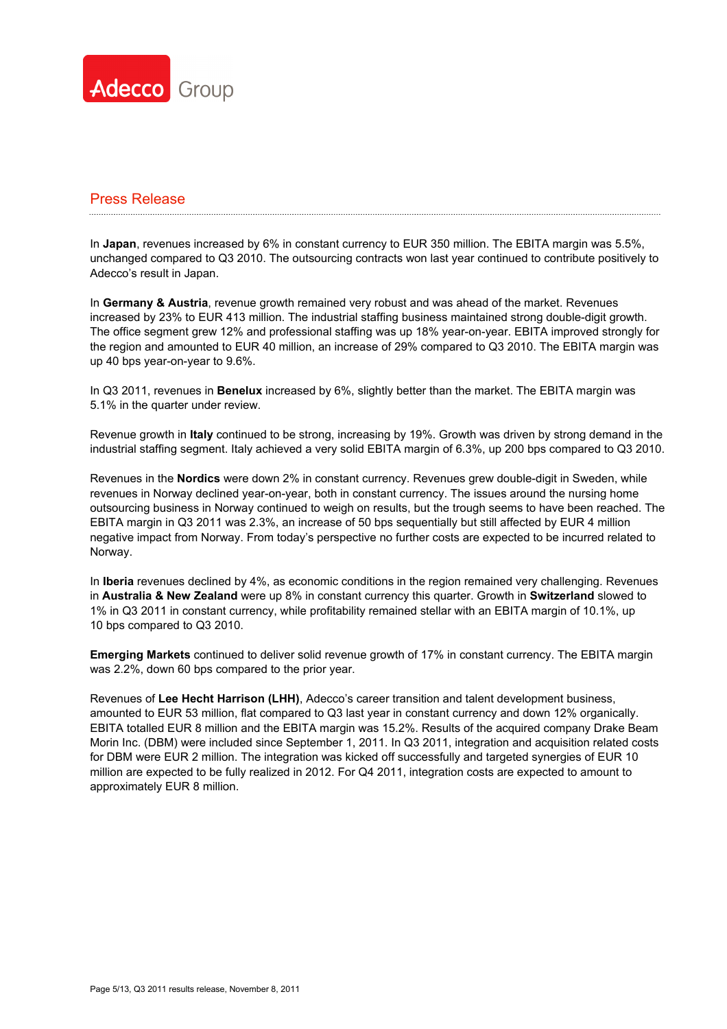

In **Japan**, revenues increased by 6% in constant currency to EUR 350 million. The EBITA margin was 5.5%, unchanged compared to Q3 2010. The outsourcing contracts won last year continued to contribute positively to Adecco's result in Japan.

In **Germany & Austria**, revenue growth remained very robust and was ahead of the market. Revenues increased by 23% to EUR 413 million. The industrial staffing business maintained strong double-digit growth. The office segment grew 12% and professional staffing was up 18% year-on-year. EBITA improved strongly for the region and amounted to EUR 40 million, an increase of 29% compared to Q3 2010. The EBITA margin was up 40 bps year-on-year to 9.6%.

In Q3 2011, revenues in **Benelux** increased by 6%, slightly better than the market. The EBITA margin was 5.1% in the quarter under review.

Revenue growth in **Italy** continued to be strong, increasing by 19%. Growth was driven by strong demand in the industrial staffing segment. Italy achieved a very solid EBITA margin of 6.3%, up 200 bps compared to Q3 2010.

Revenues in the **Nordics** were down 2% in constant currency. Revenues grew double-digit in Sweden, while revenues in Norway declined year-on-year, both in constant currency. The issues around the nursing home outsourcing business in Norway continued to weigh on results, but the trough seems to have been reached. The EBITA margin in Q3 2011 was 2.3%, an increase of 50 bps sequentially but still affected by EUR 4 million negative impact from Norway. From today's perspective no further costs are expected to be incurred related to Norway.

In **Iberia** revenues declined by 4%, as economic conditions in the region remained very challenging. Revenues in **Australia & New Zealand** were up 8% in constant currency this quarter. Growth in **Switzerland** slowed to 1% in Q3 2011 in constant currency, while profitability remained stellar with an EBITA margin of 10.1%, up 10 bps compared to Q3 2010.

**Emerging Markets** continued to deliver solid revenue growth of 17% in constant currency. The EBITA margin was 2.2%, down 60 bps compared to the prior year.

Revenues of **Lee Hecht Harrison (LHH)**, Adecco's career transition and talent development business, amounted to EUR 53 million, flat compared to Q3 last year in constant currency and down 12% organically. EBITA totalled EUR 8 million and the EBITA margin was 15.2%. Results of the acquired company Drake Beam Morin Inc. (DBM) were included since September 1, 2011. In Q3 2011, integration and acquisition related costs for DBM were EUR 2 million. The integration was kicked off successfully and targeted synergies of EUR 10 million are expected to be fully realized in 2012. For Q4 2011, integration costs are expected to amount to approximately EUR 8 million.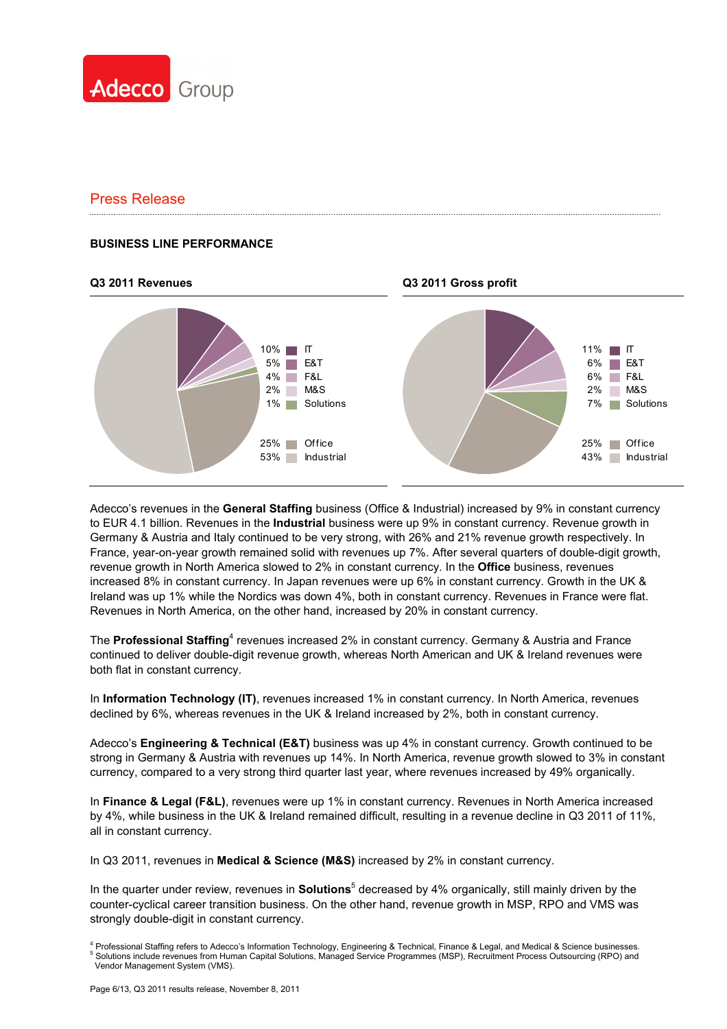

#### **BUSINESS LINE PERFORMANCE**

#### **Q3 2011 Revenues Q3 2011 Gross profit**



Adecco's revenues in the **General Staffing** business (Office & Industrial) increased by 9% in constant currency to EUR 4.1 billion. Revenues in the **Industrial** business were up 9% in constant currency. Revenue growth in Germany & Austria and Italy continued to be very strong, with 26% and 21% revenue growth respectively. In France, year-on-year growth remained solid with revenues up 7%. After several quarters of double-digit growth, revenue growth in North America slowed to 2% in constant currency. In the **Office** business, revenues increased 8% in constant currency. In Japan revenues were up 6% in constant currency. Growth in the UK & Ireland was up 1% while the Nordics was down 4%, both in constant currency. Revenues in France were flat. Revenues in North America, on the other hand, increased by 20% in constant currency.

The Professional Staffing<sup>4</sup> revenues increased 2% in constant currency. Germany & Austria and France continued to deliver double-digit revenue growth, whereas North American and UK & Ireland revenues were both flat in constant currency.

In **Information Technology (IT)**, revenues increased 1% in constant currency. In North America, revenues declined by 6%, whereas revenues in the UK & Ireland increased by 2%, both in constant currency.

Adecco's **Engineering & Technical (E&T)** business was up 4% in constant currency. Growth continued to be strong in Germany & Austria with revenues up 14%. In North America, revenue growth slowed to 3% in constant currency, compared to a very strong third quarter last year, where revenues increased by 49% organically.

In **Finance & Legal (F&L)**, revenues were up 1% in constant currency. Revenues in North America increased by 4%, while business in the UK & Ireland remained difficult, resulting in a revenue decline in Q3 2011 of 11%, all in constant currency.

In Q3 2011, revenues in **Medical & Science (M&S)** increased by 2% in constant currency.

In the quarter under review, revenues in **Solutions**<sup>5</sup> decreased by 4% organically, still mainly driven by the counter-cyclical career transition business. On the other hand, revenue growth in MSP, RPO and VMS was strongly double-digit in constant currency.

<sup>&</sup>lt;sup>4</sup> Professional Staffing refers to Adecco's Information Technology, Engineering & Technical, Finance & Legal, and Medical & Science businesses.<br><sup>5</sup> Solutions include revenues from Human Cepital Solutions, Managed Sensite Solutions include revenues from Human Capital Solutions, Managed Service Programmes (MSP), Recruitment Process Outsourcing (RPO) and

Vendor Management System (VMS).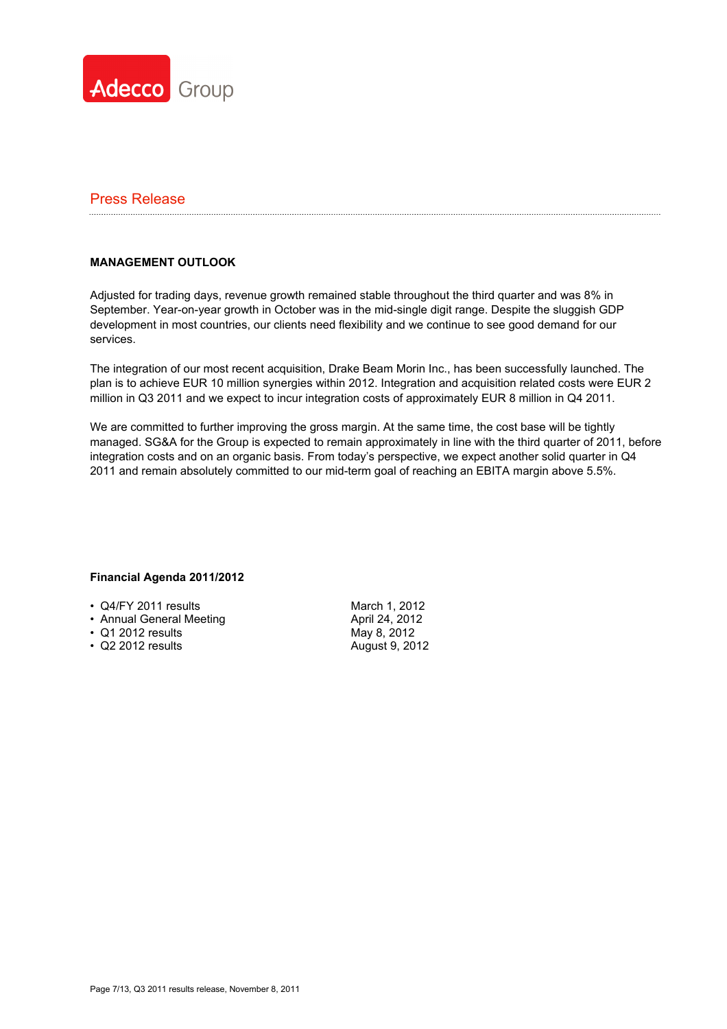

### **MANAGEMENT OUTLOOK**

Adjusted for trading days, revenue growth remained stable throughout the third quarter and was 8% in September. Year-on-year growth in October was in the mid-single digit range. Despite the sluggish GDP development in most countries, our clients need flexibility and we continue to see good demand for our services.

The integration of our most recent acquisition, Drake Beam Morin Inc., has been successfully launched. The plan is to achieve EUR 10 million synergies within 2012. Integration and acquisition related costs were EUR 2 million in Q3 2011 and we expect to incur integration costs of approximately EUR 8 million in Q4 2011.

We are committed to further improving the gross margin. At the same time, the cost base will be tightly managed. SG&A for the Group is expected to remain approximately in line with the third quarter of 2011, before integration costs and on an organic basis. From today's perspective, we expect another solid quarter in Q4 2011 and remain absolutely committed to our mid-term goal of reaching an EBITA margin above 5.5%.

#### **Financial Agenda 2011/2012**

- Q4/FY 2011 results
- Annual General Meeting
- Q1 2012 results
- Q2 2012 results

March 1, 2012 April 24, 2012 May 8, 2012 August 9, 2012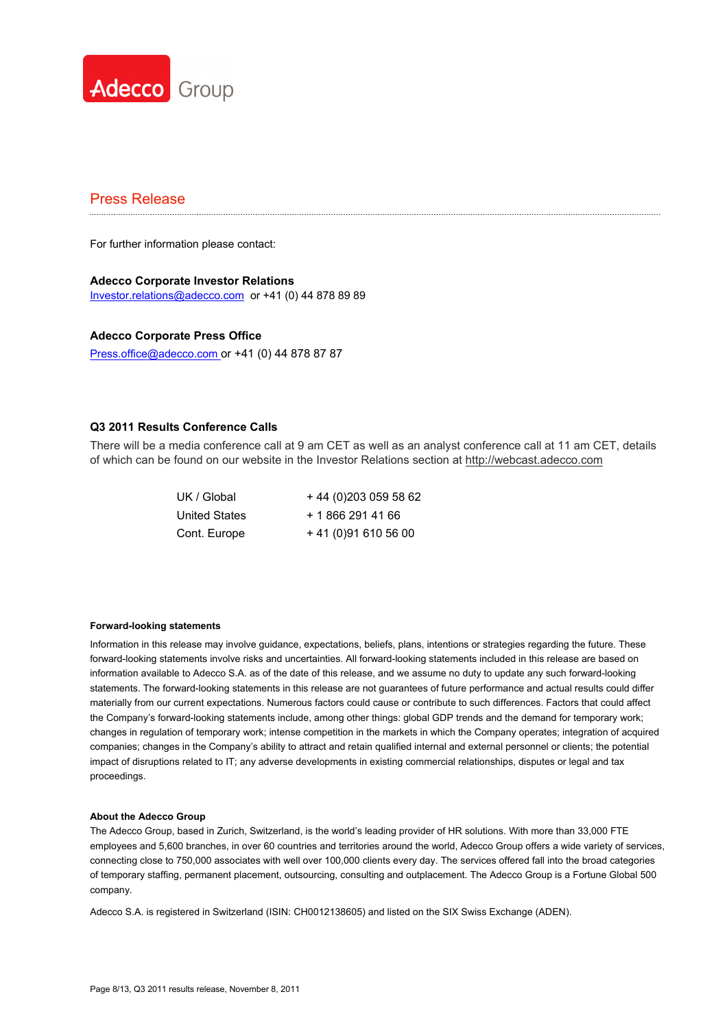

For further information please contact:

#### **Adecco Corporate Investor Relations**  Investor.relations@adecco.com or +41 (0) 44 878 89 89

#### **Adecco Corporate Press Office**

Press.office@adecco.com or +41 (0) 44 878 87 87

#### **Q3 2011 Results Conference Calls**

There will be a media conference call at 9 am CET as well as an analyst conference call at 11 am CET, details of which can be found on our website in the Investor Relations section at http://webcast.adecco.com

UK / Global + 44 (0)203 059 58 62 United States + 1 866 291 41 66 Cont. Europe + 41 (0)91 610 56 00

#### **Forward-looking statements**

Information in this release may involve guidance, expectations, beliefs, plans, intentions or strategies regarding the future. These forward-looking statements involve risks and uncertainties. All forward-looking statements included in this release are based on information available to Adecco S.A. as of the date of this release, and we assume no duty to update any such forward-looking statements. The forward-looking statements in this release are not guarantees of future performance and actual results could differ materially from our current expectations. Numerous factors could cause or contribute to such differences. Factors that could affect the Company's forward-looking statements include, among other things: global GDP trends and the demand for temporary work; changes in regulation of temporary work; intense competition in the markets in which the Company operates; integration of acquired companies; changes in the Company's ability to attract and retain qualified internal and external personnel or clients; the potential impact of disruptions related to IT; any adverse developments in existing commercial relationships, disputes or legal and tax proceedings.

#### **About the Adecco Group**

The Adecco Group, based in Zurich, Switzerland, is the world's leading provider of HR solutions. With more than 33,000 FTE employees and 5,600 branches, in over 60 countries and territories around the world, Adecco Group offers a wide variety of services, connecting close to 750,000 associates with well over 100,000 clients every day. The services offered fall into the broad categories of temporary staffing, permanent placement, outsourcing, consulting and outplacement. The Adecco Group is a Fortune Global 500 company.

Adecco S.A. is registered in Switzerland (ISIN: CH0012138605) and listed on the SIX Swiss Exchange (ADEN).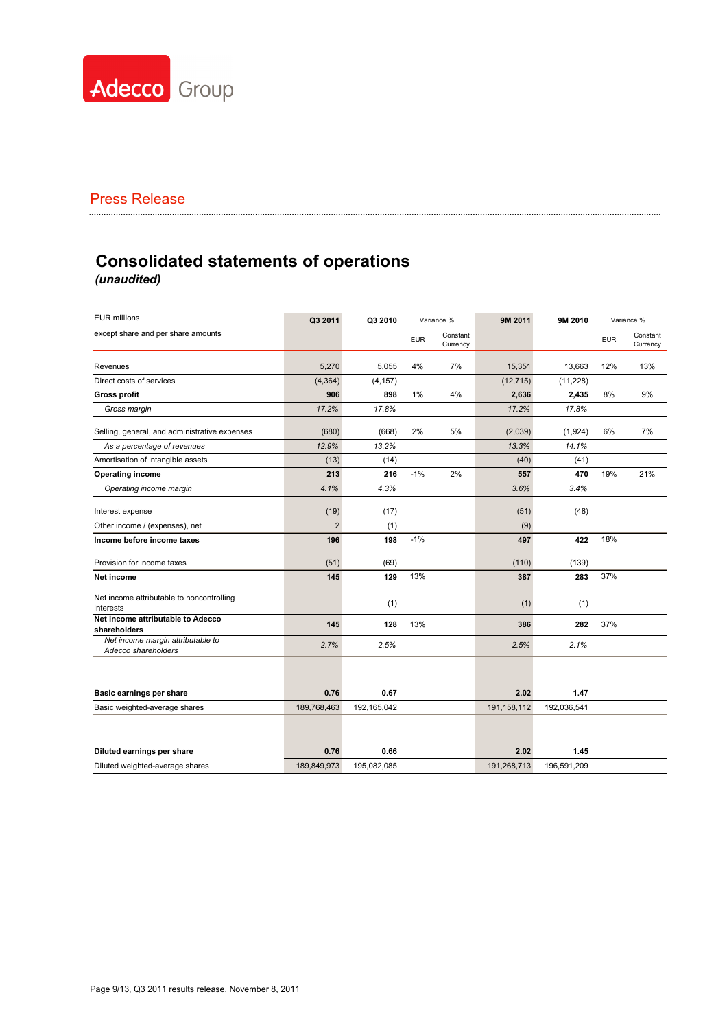

# **Consolidated statements of operations** *(unaudited)*

| <b>EUR millions</b>                                      | Q3 2011        | Q3 2010     |            | Variance %           | 9M 2011       | 9M 2010     |            | Variance %           |
|----------------------------------------------------------|----------------|-------------|------------|----------------------|---------------|-------------|------------|----------------------|
| except share and per share amounts                       |                |             | <b>EUR</b> | Constant<br>Currency |               |             | <b>EUR</b> | Constant<br>Currency |
| Revenues                                                 | 5,270          | 5.055       | 4%         | 7%                   | 15,351        | 13,663      | 12%        | 13%                  |
| Direct costs of services                                 | (4, 364)       | (4, 157)    |            |                      | (12, 715)     | (11, 228)   |            |                      |
| <b>Gross profit</b>                                      | 906            | 898         | 1%         | 4%                   | 2,636         | 2,435       | 8%         | 9%                   |
| Gross margin                                             | 17.2%          | 17.8%       |            |                      | 17.2%         | 17.8%       |            |                      |
| Selling, general, and administrative expenses            | (680)          | (668)       | 2%         | 5%                   | (2,039)       | (1,924)     | 6%         | 7%                   |
| As a percentage of revenues                              | 12.9%          | 13.2%       |            |                      | 13.3%         | 14.1%       |            |                      |
| Amortisation of intangible assets                        | (13)           | (14)        |            |                      | (40)          | (41)        |            |                      |
| <b>Operating income</b>                                  | 213            | 216         | $-1%$      | 2%                   | 557           | 470         | 19%        | 21%                  |
| Operating income margin                                  | 4.1%           | 4.3%        |            |                      | 3.6%          | 3.4%        |            |                      |
| Interest expense                                         | (19)           | (17)        |            |                      | (51)          | (48)        |            |                      |
| Other income / (expenses), net                           | $\overline{2}$ | (1)         |            |                      | (9)           |             |            |                      |
| Income before income taxes                               | 196            | 198         | $-1%$      |                      | 497           | 422         | 18%        |                      |
| Provision for income taxes                               | (51)           | (69)        |            |                      | (110)         | (139)       |            |                      |
| Net income                                               | 145            | 129         | 13%        |                      | 387           | 283         | 37%        |                      |
| Net income attributable to noncontrolling<br>interests   |                | (1)         |            |                      | (1)           | (1)         |            |                      |
| Net income attributable to Adecco<br>shareholders        | 145            | 128         | 13%        |                      | 386           | 282         | 37%        |                      |
| Net income margin attributable to<br>Adecco shareholders | 2.7%           | 2.5%        |            |                      | 2.5%          | 2.1%        |            |                      |
|                                                          |                |             |            |                      |               |             |            |                      |
| Basic earnings per share                                 | 0.76           | 0.67        |            |                      | 2.02          | 1.47        |            |                      |
| Basic weighted-average shares                            | 189,768,463    | 192,165,042 |            |                      | 191, 158, 112 | 192,036,541 |            |                      |
|                                                          |                |             |            |                      |               |             |            |                      |
| Diluted earnings per share                               | 0.76           | 0.66        |            |                      | 2.02          | 1.45        |            |                      |
| Diluted weighted-average shares                          | 189,849,973    | 195,082,085 |            |                      | 191,268,713   | 196,591,209 |            |                      |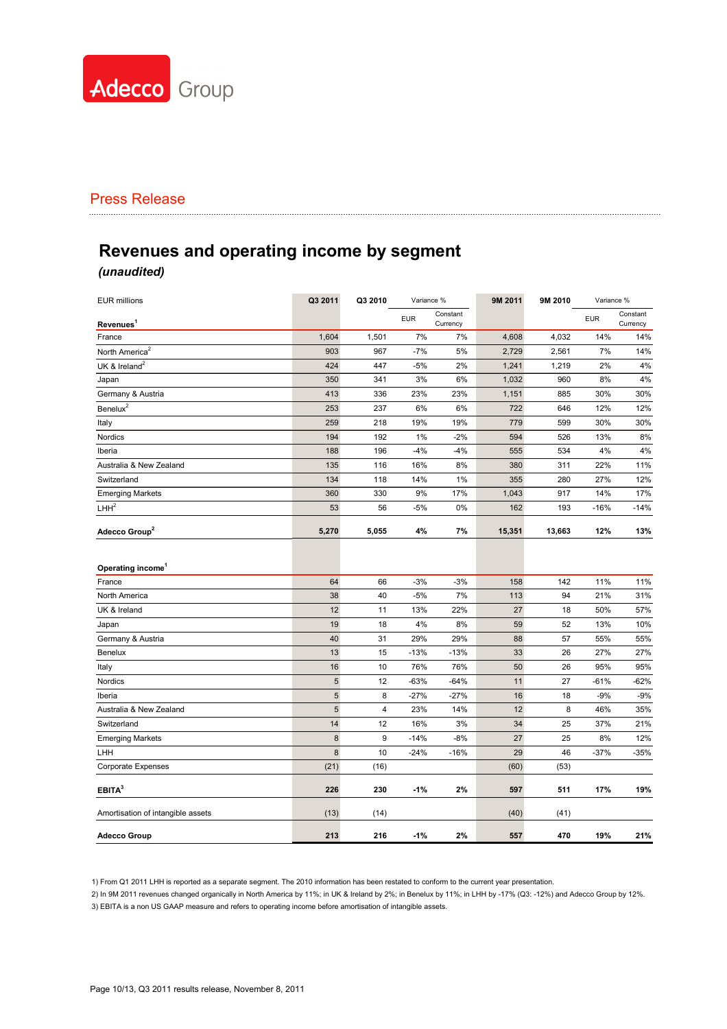

# **Revenues and operating income by segment**

# *(unaudited)*

| <b>EUR millions</b>               | Q3 2011    | Q3 2010 | Variance % |                      | 9M 2011 | 9M 2010 | Variance % |                      |
|-----------------------------------|------------|---------|------------|----------------------|---------|---------|------------|----------------------|
| Revenues <sup>1</sup>             |            |         | <b>EUR</b> | Constant<br>Currency |         |         | <b>EUR</b> | Constant<br>Currency |
| France                            | 1,604      | 1,501   | 7%         | 7%                   | 4,608   | 4,032   | 14%        | 14%                  |
| North America <sup>2</sup>        | 903        | 967     | $-7%$      | 5%                   | 2,729   | 2,561   | 7%         | 14%                  |
| UK & Ireland <sup>2</sup>         | 424        | 447     | $-5%$      | 2%                   | 1,241   | 1,219   | 2%         | 4%                   |
| Japan                             | 350        | 341     | 3%         | 6%                   | 1,032   | 960     | 8%         | 4%                   |
| Germany & Austria                 | 413        | 336     | 23%        | 23%                  | 1,151   | 885     | 30%        | 30%                  |
| Benelux <sup>2</sup>              | 253        | 237     | 6%         | 6%                   | 722     | 646     | 12%        | 12%                  |
| Italy                             | 259        | 218     | 19%        | 19%                  | 779     | 599     | 30%        | 30%                  |
| Nordics                           | 194        | 192     | 1%         | $-2%$                | 594     | 526     | 13%        | 8%                   |
| Iberia                            | 188        | 196     | $-4%$      | $-4%$                | 555     | 534     | 4%         | 4%                   |
| Australia & New Zealand           | 135        | 116     | 16%        | 8%                   | 380     | 311     | 22%        | 11%                  |
| Switzerland                       | 134        | 118     | 14%        | 1%                   | 355     | 280     | 27%        | 12%                  |
| <b>Emerging Markets</b>           | 360        | 330     | 9%         | 17%                  | 1,043   | 917     | 14%        | 17%                  |
| LHH <sup>2</sup>                  | 53         | 56      | $-5%$      | 0%                   | 162     | 193     | $-16%$     | $-14%$               |
| Adecco Group <sup>2</sup>         | 5,270      | 5,055   | 4%         | 7%                   | 15,351  | 13,663  | 12%        | 13%                  |
| Operating income                  |            |         |            |                      |         |         |            |                      |
| France                            | 64         | 66      | $-3%$      | $-3%$                | 158     | 142     | 11%        | 11%                  |
| North America                     | 38         | 40      | $-5%$      | 7%                   | 113     | 94      | 21%        | 31%                  |
| UK & Ireland                      | 12         | 11      | 13%        | 22%                  | 27      | 18      | 50%        | 57%                  |
| Japan                             | 19         | 18      | 4%         | 8%                   | 59      | 52      | 13%        | 10%                  |
| Germany & Austria                 | 40         | 31      | 29%        | 29%                  | 88      | 57      | 55%        | 55%                  |
| Benelux                           | 13         | 15      | $-13%$     | $-13%$               | 33      | 26      | 27%        | 27%                  |
| Italy                             | 16         | 10      | 76%        | 76%                  | 50      | 26      | 95%        | 95%                  |
| Nordics                           | $\sqrt{5}$ | 12      | $-63%$     | $-64%$               | 11      | 27      | $-61%$     | $-62%$               |
| Iberia                            | 5          | 8       | $-27%$     | $-27%$               | 16      | 18      | $-9%$      | $-9%$                |
| Australia & New Zealand           | 5          | 4       | 23%        | 14%                  | 12      | 8       | 46%        | 35%                  |
| Switzerland                       | 14         | 12      | 16%        | 3%                   | 34      | 25      | 37%        | 21%                  |
| <b>Emerging Markets</b>           | 8          | 9       | $-14%$     | $-8%$                | 27      | 25      | 8%         | 12%                  |
| LHH                               | 8          | 10      | $-24%$     | $-16%$               | 29      | 46      | $-37%$     | $-35%$               |
| Corporate Expenses                | (21)       | (16)    |            |                      | (60)    | (53)    |            |                      |
| EBITA <sup>3</sup>                | 226        | 230     | $-1%$      | 2%                   | 597     | 511     | 17%        | 19%                  |
| Amortisation of intangible assets | (13)       | (14)    |            |                      | (40)    | (41)    |            |                      |
| <b>Adecco Group</b>               | 213        | 216     | $-1%$      | 2%                   | 557     | 470     | 19%        | 21%                  |

1) From Q1 2011 LHH is reported as a separate segment. The 2010 information has been restated to conform to the current year presentation.

2) In 9M 2011 revenues changed organically in North America by 11%; in UK & Ireland by 2%; in Benelux by 11%; in LHH by -17% (Q3: -12%) and Adecco Group by 12%. 3) EBITA is a non US GAAP measure and refers to operating income before amortisation of intangible assets.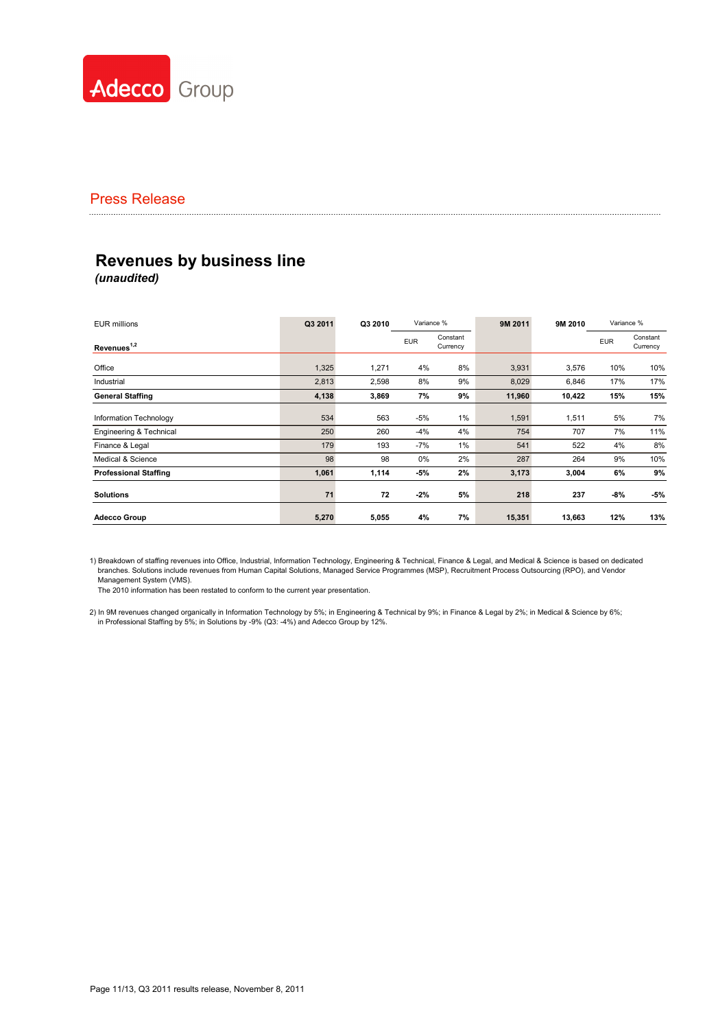

# **Revenues by business line** *(unaudited)*

| <b>EUR millions</b>          | Q3 2011 | Q3 2010 | Variance % |                      | 9M 2011 | 9M 2010 | Variance % |                      |
|------------------------------|---------|---------|------------|----------------------|---------|---------|------------|----------------------|
| Revenues <sup>1,2</sup>      |         |         | <b>EUR</b> | Constant<br>Currency |         |         | <b>EUR</b> | Constant<br>Currency |
| Office                       | 1,325   | 1,271   | 4%         | 8%                   | 3,931   | 3,576   | 10%        | 10%                  |
| Industrial                   | 2,813   | 2,598   | 8%         | 9%                   | 8,029   | 6,846   | 17%        | 17%                  |
| <b>General Staffing</b>      | 4,138   | 3,869   | 7%         | 9%                   | 11,960  | 10,422  | 15%        | 15%                  |
| Information Technology       | 534     | 563     | -5%        | $1\%$                | 1,591   | 1,511   | 5%         | 7%                   |
| Engineering & Technical      | 250     | 260     | $-4%$      | 4%                   | 754     | 707     | 7%         | 11%                  |
| Finance & Legal              | 179     | 193     | $-7%$      | 1%                   | 541     | 522     | 4%         | 8%                   |
| Medical & Science            | 98      | 98      | 0%         | 2%                   | 287     | 264     | 9%         | 10%                  |
| <b>Professional Staffing</b> | 1,061   | 1,114   | $-5%$      | 2%                   | 3,173   | 3,004   | 6%         | 9%                   |
| <b>Solutions</b>             | 71      | 72      | $-2%$      | 5%                   | 218     | 237     | -8%        | $-5%$                |
| <b>Adecco Group</b>          | 5,270   | 5,055   | 4%         | 7%                   | 15,351  | 13,663  | 12%        | 13%                  |

1) Breakdown of staffing revenues into Office, Industrial, Information Technology, Engineering & Technical, Finance & Legal, and Medical & Science is based on dedicated branches. Solutions include revenues from Human Capital Solutions, Managed Service Programmes (MSP), Recruitment Process Outsourcing (RPO), and Vendor Management System (VMS).

The 2010 information has been restated to conform to the current year presentation.

2) In 9M revenues changed organically in Information Technology by 5%; in Engineering & Technical by 9%; in Finance & Legal by 2%; in Medical & Science by 6%; in Professional Staffing by 5%; in Solutions by -9% (Q3: -4%) and Adecco Group by 12%.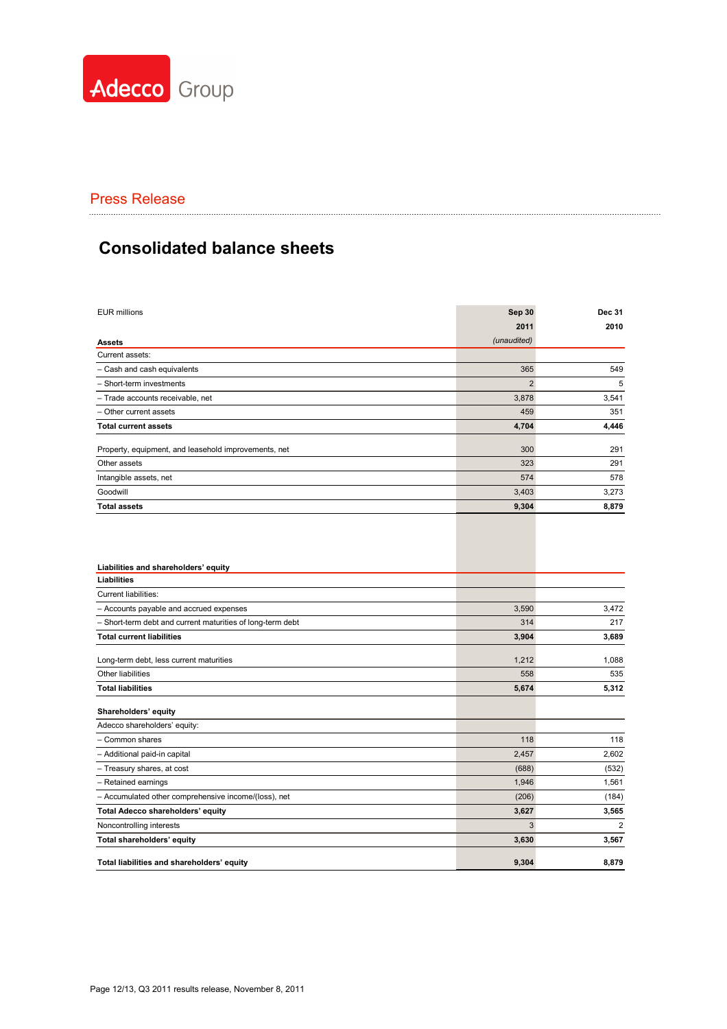

# Press Release **Manual Constitution Constant Constant Constant Constant Constant Constant Constant Constant Constant Constant Constant Constant Constant Constant Constant Constant Constant Constant Constant Constant Constan**

# **Consolidated balance sheets**

| <b>EUR millions</b>                                        | Sep 30         | Dec 31         |
|------------------------------------------------------------|----------------|----------------|
|                                                            | 2011           | 2010           |
| <b>Assets</b>                                              | (unaudited)    |                |
| Current assets:                                            |                |                |
| - Cash and cash equivalents                                | 365            | 549            |
| - Short-term investments                                   | $\overline{2}$ | 5              |
| - Trade accounts receivable, net                           | 3,878          | 3,541          |
| Other current assets                                       | 459            | 351            |
| <b>Total current assets</b>                                | 4,704          | 4,446          |
| Property, equipment, and leasehold improvements, net       | 300            | 291            |
| Other assets                                               | 323            | 291            |
| Intangible assets, net                                     | 574            | 578            |
| Goodwill                                                   | 3,403          | 3,273          |
| <b>Total assets</b>                                        | 9,304          | 8,879          |
| Liabilities and shareholders' equity                       |                |                |
| <b>Liabilities</b>                                         |                |                |
| Current liabilities:                                       |                |                |
| - Accounts payable and accrued expenses                    | 3,590          | 3,472          |
| - Short-term debt and current maturities of long-term debt | 314            | 217            |
| <b>Total current liabilities</b>                           | 3,904          | 3,689          |
| Long-term debt, less current maturities                    | 1,212          | 1,088          |
| Other liabilities                                          | 558            | 535            |
| <b>Total liabilities</b>                                   | 5,674          | 5,312          |
| Shareholders' equity                                       |                |                |
| Adecco shareholders' equity:                               |                |                |
| - Common shares                                            | 118            | 118            |
| - Additional paid-in capital                               | 2,457          | 2,602          |
| - Treasury shares, at cost                                 | (688)          | (532)          |
| - Retained earnings                                        | 1,946          | 1,561          |
| - Accumulated other comprehensive income/(loss), net       | (206)          | (184)          |
| Total Adecco shareholders' equity                          | 3,627          | 3,565          |
| Noncontrolling interests                                   | 3              | $\overline{2}$ |
| Total shareholders' equity                                 | 3,630          | 3,567          |
| Total liabilities and shareholders' equity                 | 9.304          | 8.879          |